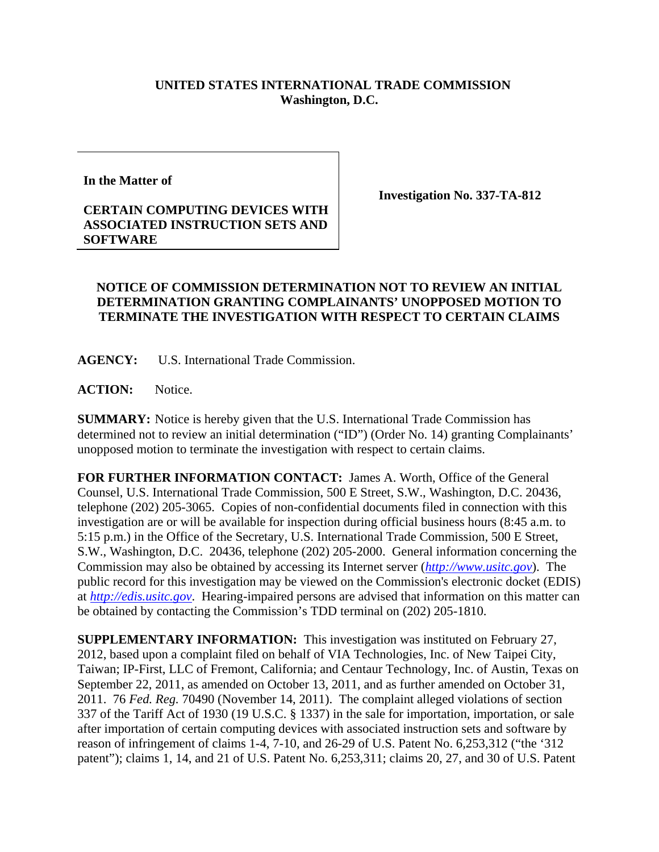## **UNITED STATES INTERNATIONAL TRADE COMMISSION Washington, D.C.**

**In the Matter of** 

## **CERTAIN COMPUTING DEVICES WITH ASSOCIATED INSTRUCTION SETS AND SOFTWARE**

**Investigation No. 337-TA-812** 

## **NOTICE OF COMMISSION DETERMINATION NOT TO REVIEW AN INITIAL DETERMINATION GRANTING COMPLAINANTS' UNOPPOSED MOTION TO TERMINATE THE INVESTIGATION WITH RESPECT TO CERTAIN CLAIMS**

**AGENCY:** U.S. International Trade Commission.

**ACTION:** Notice.

**SUMMARY:** Notice is hereby given that the U.S. International Trade Commission has determined not to review an initial determination ("ID") (Order No. 14) granting Complainants' unopposed motion to terminate the investigation with respect to certain claims.

**FOR FURTHER INFORMATION CONTACT:** James A. Worth, Office of the General Counsel, U.S. International Trade Commission, 500 E Street, S.W., Washington, D.C. 20436, telephone (202) 205-3065. Copies of non-confidential documents filed in connection with this investigation are or will be available for inspection during official business hours (8:45 a.m. to 5:15 p.m.) in the Office of the Secretary, U.S. International Trade Commission, 500 E Street, S.W., Washington, D.C. 20436, telephone (202) 205-2000. General information concerning the Commission may also be obtained by accessing its Internet server (*http://www.usitc.gov*). The public record for this investigation may be viewed on the Commission's electronic docket (EDIS) at *http://edis.usitc.gov*. Hearing-impaired persons are advised that information on this matter can be obtained by contacting the Commission's TDD terminal on (202) 205-1810.

**SUPPLEMENTARY INFORMATION:** This investigation was instituted on February 27, 2012, based upon a complaint filed on behalf of VIA Technologies, Inc. of New Taipei City, Taiwan; IP-First, LLC of Fremont, California; and Centaur Technology, Inc. of Austin, Texas on September 22, 2011, as amended on October 13, 2011, and as further amended on October 31, 2011. 76 *Fed. Reg.* 70490 (November 14, 2011). The complaint alleged violations of section 337 of the Tariff Act of 1930 (19 U.S.C. § 1337) in the sale for importation, importation, or sale after importation of certain computing devices with associated instruction sets and software by reason of infringement of claims 1-4, 7-10, and 26-29 of U.S. Patent No. 6,253,312 ("the '312 patent"); claims 1, 14, and 21 of U.S. Patent No. 6,253,311; claims 20, 27, and 30 of U.S. Patent